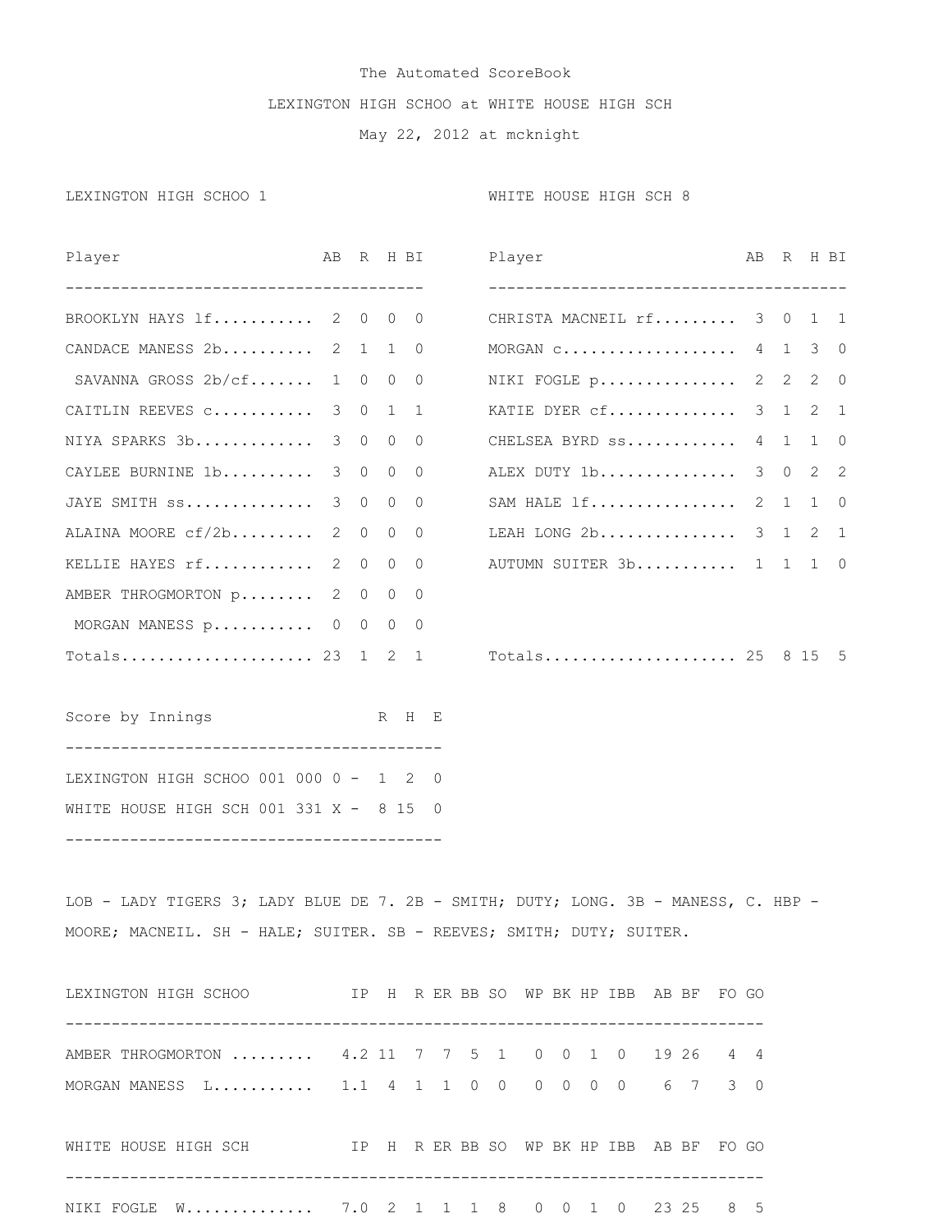## The Automated ScoreBook

## LEXINGTON HIGH SCHOO at WHITE HOUSE HIGH SCH

May 22, 2012 at mcknight

Player AB R H BI Player AB R H BI

LEXINGTON HIGH SCHOO 1 WHITE HOUSE HIGH SCH 8

| BROOKLYN HAYS lf 2 0 0 0                                                           |     |  |  |  |  | CHRISTA MACNEIL rf 3 0 1 1 |  |   |  |  |
|------------------------------------------------------------------------------------|-----|--|--|--|--|----------------------------|--|---|--|--|
| CANDACE MANESS 2b 2 1 1 0                                                          |     |  |  |  |  | MORGAN c 4 1 3 0           |  |   |  |  |
| SAVANNA GROSS $2b/cf$ 1 0 0 0                                                      |     |  |  |  |  | NIKI FOGLE p 2 2 2 0       |  |   |  |  |
| CAITLIN REEVES c 3 0 1 1                                                           |     |  |  |  |  | KATIE DYER cf 3 1 2 1      |  |   |  |  |
| NIYA SPARKS 3b 3 0 0 0                                                             |     |  |  |  |  | CHELSEA BYRD ss 4 1 1 0    |  |   |  |  |
| CAYLEE BURNINE 1b 3 0 0 0                                                          |     |  |  |  |  | ALEX DUTY 1b 3 0 2 2       |  |   |  |  |
| JAYE SMITH SS 3 0 0 0                                                              |     |  |  |  |  | SAM HALE 1f 2 1 1 0        |  |   |  |  |
| ALAINA MOORE cf/2b 2 0 0 0                                                         |     |  |  |  |  | LEAH LONG 2b 3 1 2 1       |  |   |  |  |
| KELLIE HAYES rf 2 0 0 0                                                            |     |  |  |  |  | AUTUMN SUITER 3b 1 1 1 0   |  |   |  |  |
| AMBER THROGMORTON p 2 0 0 0                                                        |     |  |  |  |  |                            |  |   |  |  |
| MORGAN MANESS p 0 0 0 0                                                            |     |  |  |  |  |                            |  |   |  |  |
| Totals 23 1 2 1                                                                    |     |  |  |  |  | Totals 25 8 15 5           |  |   |  |  |
| Score by Innings                                                                   | RHE |  |  |  |  |                            |  |   |  |  |
| LEXINGTON HIGH SCHOO 001 000 0 - 1 2 0                                             |     |  |  |  |  |                            |  |   |  |  |
| WHITE HOUSE HIGH SCH 001 331 X - 8 15 0                                            |     |  |  |  |  |                            |  |   |  |  |
|                                                                                    |     |  |  |  |  |                            |  |   |  |  |
|                                                                                    |     |  |  |  |  |                            |  |   |  |  |
| LOB - LADY TIGERS 3; LADY BLUE DE 7. 2B - SMITH; DUTY; LONG. 3B - MANESS, C. HBP - |     |  |  |  |  |                            |  |   |  |  |
| MOORE; MACNEIL. SH - HALE; SUITER. SB - REEVES; SMITH; DUTY; SUITER.               |     |  |  |  |  |                            |  |   |  |  |
|                                                                                    |     |  |  |  |  |                            |  |   |  |  |
| LEXINGTON HIGH SCHOO TP H R ER BB SO WP BK HP IBB AB BF FO GO                      |     |  |  |  |  |                            |  |   |  |  |
|                                                                                    |     |  |  |  |  |                            |  |   |  |  |
| AMBER THROGMORTON  4.2 11 7 7 5 1 0 0 1 0 19 26 4 4                                |     |  |  |  |  |                            |  |   |  |  |
| MORGAN MANESS L 1.1 4 1 1 0 0 0 0 0 0 0 6 7 3 0                                    |     |  |  |  |  |                            |  |   |  |  |
|                                                                                    |     |  |  |  |  |                            |  |   |  |  |
| WHITE HOUSE HIGH SCH TPH RER BB SO WP BK HP IBB AB BF FO GO                        |     |  |  |  |  |                            |  |   |  |  |
|                                                                                    |     |  |  |  |  |                            |  |   |  |  |
| NIKI FOGLE W 7.0 2 1 1 1 8 0 0 1 0 23 25 8                                         |     |  |  |  |  |                            |  | 5 |  |  |
|                                                                                    |     |  |  |  |  |                            |  |   |  |  |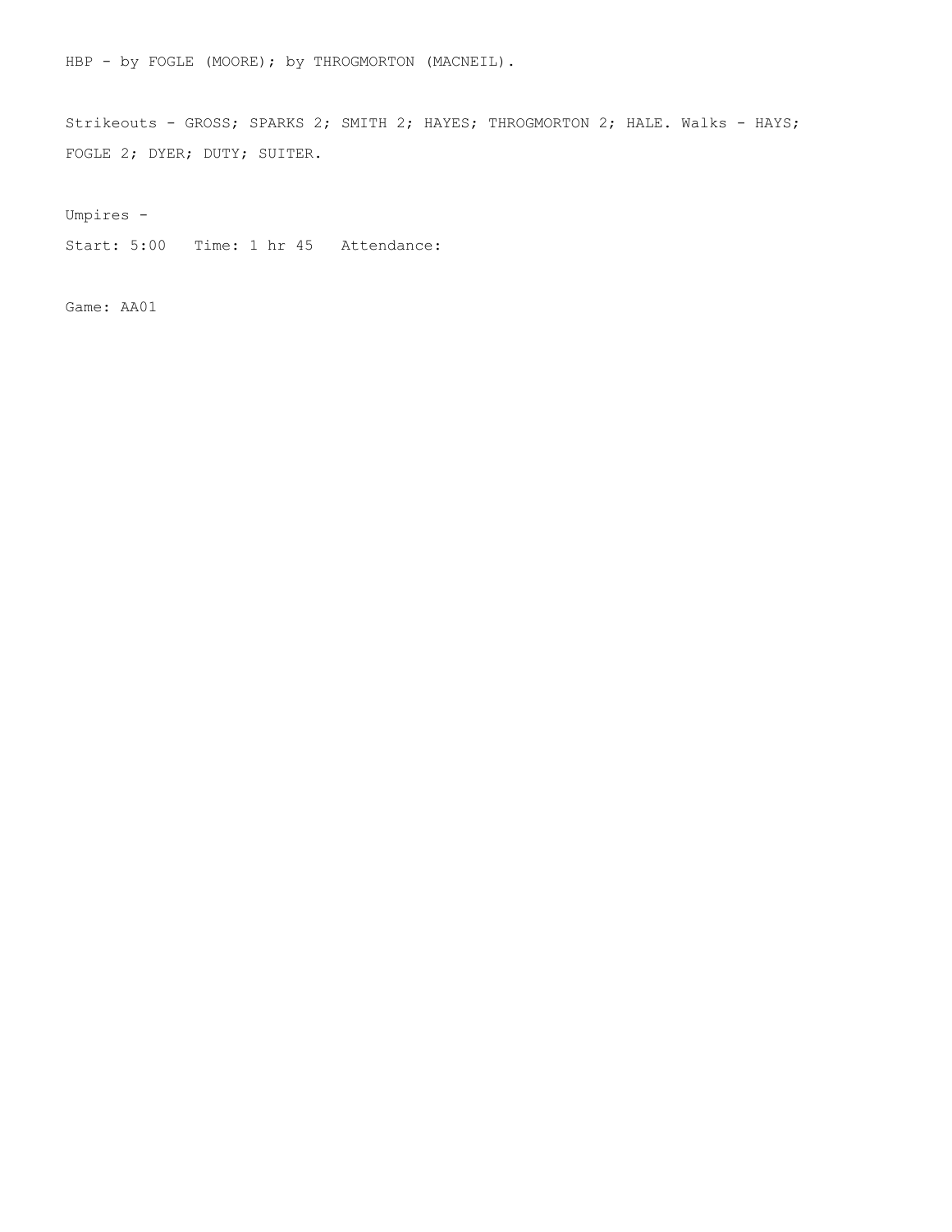HBP - by FOGLE (MOORE); by THROGMORTON (MACNEIL).

Strikeouts - GROSS; SPARKS 2; SMITH 2; HAYES; THROGMORTON 2; HALE. Walks - HAYS; FOGLE 2; DYER; DUTY; SUITER.

Umpires -

Start: 5:00 Time: 1 hr 45 Attendance:

Game: AA01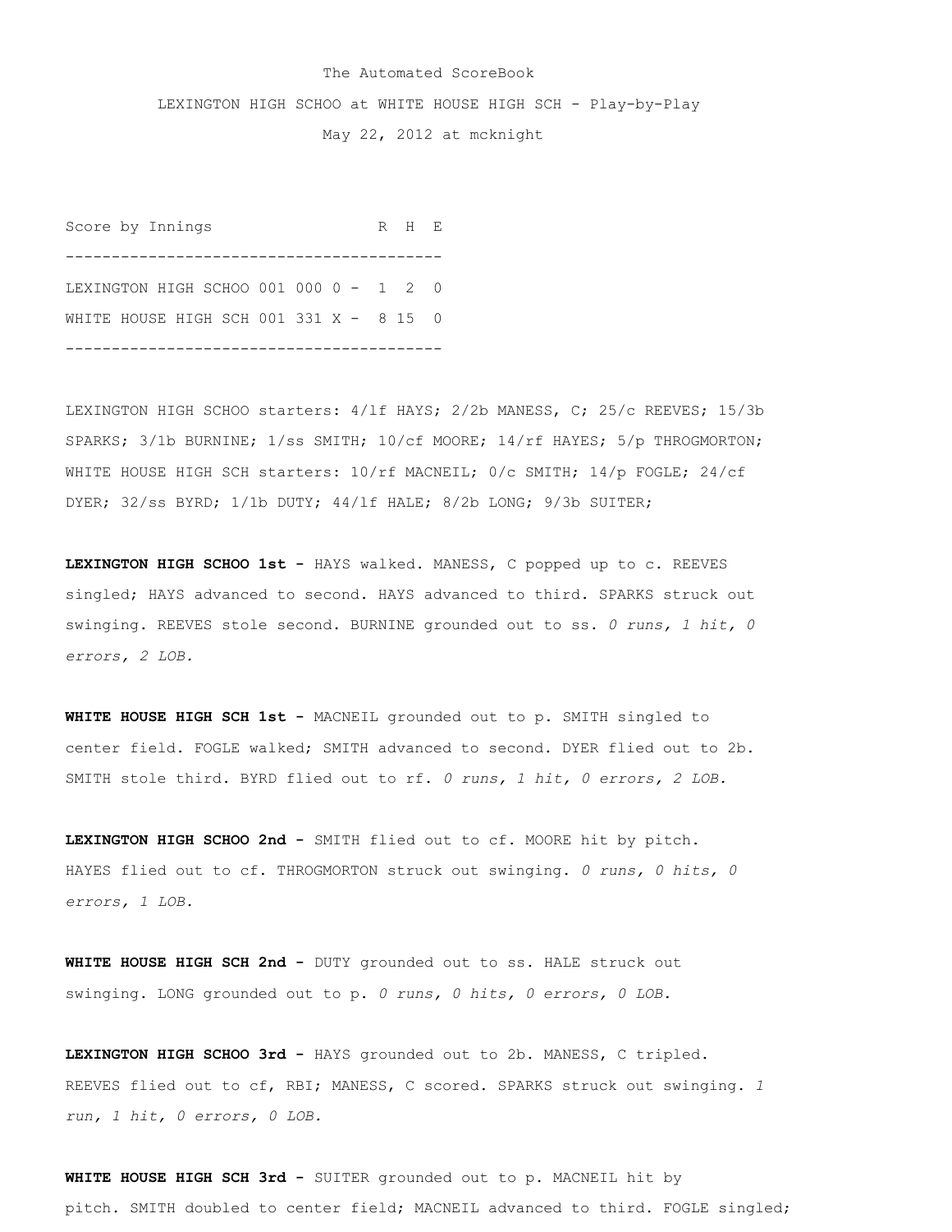## The Automated ScoreBook

LEXINGTON HIGH SCHOO at WHITE HOUSE HIGH SCH - Play-by-Play

May 22, 2012 at mcknight

Score by Innings R H E ----------------------------------------- LEXINGTON HIGH SCHOO 001 000 0 - 1 2 0 WHITE HOUSE HIGH SCH 001 331 X - 8 15 0 -----------------------------------------

LEXINGTON HIGH SCHOO starters: 4/lf HAYS; 2/2b MANESS, C; 25/c REEVES; 15/3b SPARKS; 3/1b BURNINE; 1/ss SMITH; 10/cf MOORE; 14/rf HAYES; 5/p THROGMORTON; WHITE HOUSE HIGH SCH starters:  $10/\text{rf}$  MACNEIL; 0/c SMITH; 14/p FOGLE; 24/cf DYER; 32/ss BYRD; 1/1b DUTY; 44/lf HALE; 8/2b LONG; 9/3b SUITER;

**LEXINGTON HIGH SCHOO 1st -** HAYS walked. MANESS, C popped up to c. REEVES singled; HAYS advanced to second. HAYS advanced to third. SPARKS struck out swinging. REEVES stole second. BURNINE grounded out to ss. *0 runs, 1 hit, 0 errors, 2 LOB.*

**WHITE HOUSE HIGH SCH 1st -** MACNEIL grounded out to p. SMITH singled to center field. FOGLE walked; SMITH advanced to second. DYER flied out to 2b. SMITH stole third. BYRD flied out to rf. *0 runs, 1 hit, 0 errors, 2 LOB.*

**LEXINGTON HIGH SCHOO 2nd -** SMITH flied out to cf. MOORE hit by pitch. HAYES flied out to cf. THROGMORTON struck out swinging. *0 runs, 0 hits, 0 errors, 1 LOB.*

**WHITE HOUSE HIGH SCH 2nd -** DUTY grounded out to ss. HALE struck out swinging. LONG grounded out to p. *0 runs, 0 hits, 0 errors, 0 LOB.*

**LEXINGTON HIGH SCHOO 3rd -** HAYS grounded out to 2b. MANESS, C tripled. REEVES flied out to cf, RBI; MANESS, C scored. SPARKS struck out swinging. *1 run, 1 hit, 0 errors, 0 LOB.*

**WHITE HOUSE HIGH SCH 3rd -** SUITER grounded out to p. MACNEIL hit by pitch. SMITH doubled to center field; MACNEIL advanced to third. FOGLE singled;